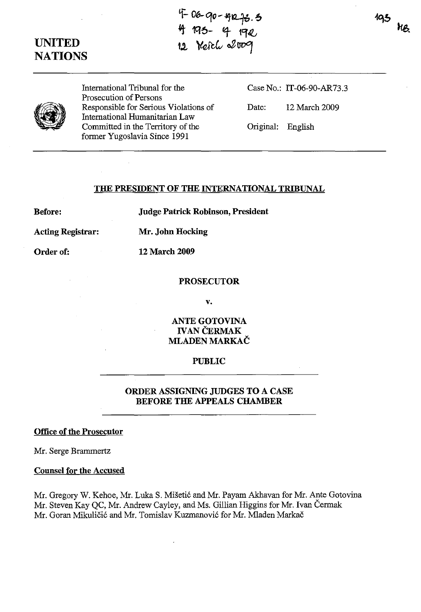# **UNITED NATIONS**

 $F$  00- $90 - 492 + 3.5$ 4 193- 4 19*2*<br>12 Yetch 2009

195 NB.



International Tribunal for the Prosecution of Persons Responsible for Serious Violations of International Humanitarian Law Committed in the Territory of the former Yugoslavia Since 1991

Case No.: IT-06-90-AR73.3

Date: 12 March 2009

Original: English

#### **THE PRESIDENT OF THE INTERNATIONAL TRIBUNAL**

**Before:** 

**Judge Patrick Robinson, President** 

**Acting Registrar: Mr. John Hocking** 

**12 March 2009** 

Order of:

**PROSECUTOR** 

v.

**ANTE GOTOVINA**  IVAN CERMAK **MLADEN MARKAC** 

## **PUBLIC**

## **ORDER ASSIGNING JUDGES TO A CASE BEFORE THE APPEALS CHAMBER**

## **Office of the Prosecutor**

Mr. Serge Brammertz

## **Counsel for the Accused**

Mr. Gregory W. Kehoe, Mr. Luka S. Miseti6 and Mr. Payam Akhavan for Mr. Ante Gotovina Mr. Steven Kay QC, Mr. Andrew Cayley, and Ms. Gillian Higgins for Mr. Ivan Cermak Mr. Goran Mikuličić and Mr. Tomislav Kuzmanović for Mr. Mladen Markač